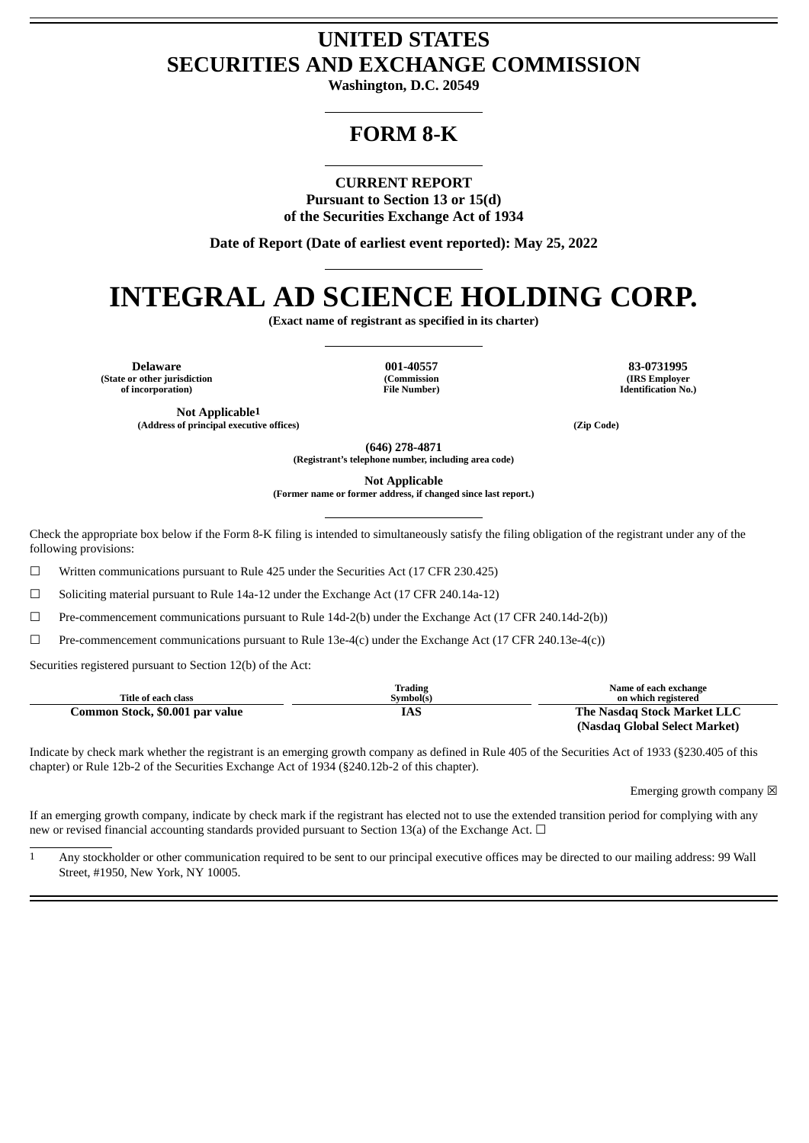# **UNITED STATES SECURITIES AND EXCHANGE COMMISSION**

**Washington, D.C. 20549**

# **FORM 8-K**

**CURRENT REPORT**

**Pursuant to Section 13 or 15(d) of the Securities Exchange Act of 1934**

**Date of Report (Date of earliest event reported): May 25, 2022**

# **INTEGRAL AD SCIENCE HOLDING CORP.**

**(Exact name of registrant as specified in its charter)**

**Delaware 001-40557 83-0731995 (State or other jurisdiction of incorporation)**

**Not Applicable1**

**(Commission File Number)** **(IRS Employer Identification No.)**

**(Address of principal executive offices) (Zip Code)**

**(646) 278-4871**

**(Registrant's telephone number, including area code)**

**Not Applicable**

**(Former name or former address, if changed since last report.)**

Check the appropriate box below if the Form 8-K filing is intended to simultaneously satisfy the filing obligation of the registrant under any of the following provisions:

☐ Written communications pursuant to Rule 425 under the Securities Act (17 CFR 230.425)

 $\Box$  Soliciting material pursuant to Rule 14a-12 under the Exchange Act (17 CFR 240.14a-12)

☐ Pre-commencement communications pursuant to Rule 14d-2(b) under the Exchange Act (17 CFR 240.14d-2(b))

 $□$  Pre-commencement communications pursuant to Rule 13e-4(c) under the Exchange Act (17 CFR 240.13e-4(c))

Securities registered pursuant to Section 12(b) of the Act:

| Title of each class             | <b>Trading</b><br>Symbol(s) | Name of each exchange<br>on which registered |
|---------------------------------|-----------------------------|----------------------------------------------|
| Common Stock, \$0.001 par value | IAS                         | The Nasdag Stock Market LLC                  |
|                                 |                             | (Nasdag Global Select Market)                |

Indicate by check mark whether the registrant is an emerging growth company as defined in Rule 405 of the Securities Act of 1933 (§230.405 of this chapter) or Rule 12b-2 of the Securities Exchange Act of 1934 (§240.12b-2 of this chapter).

Emerging growth company  $\boxtimes$ 

If an emerging growth company, indicate by check mark if the registrant has elected not to use the extended transition period for complying with any new or revised financial accounting standards provided pursuant to Section 13(a) of the Exchange Act.  $\Box$ 

1 Any stockholder or other communication required to be sent to our principal executive offices may be directed to our mailing address: 99 Wall Street, #1950, New York, NY 10005.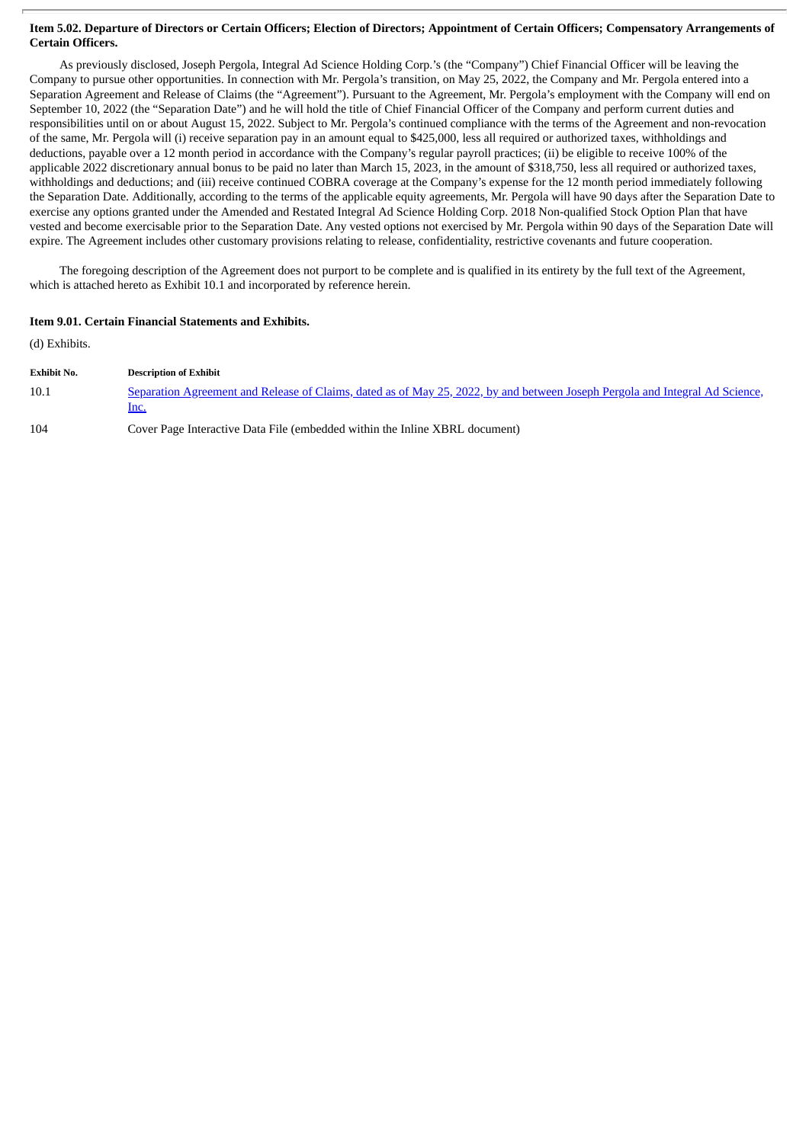#### Item 5.02. Departure of Directors or Certain Officers; Election of Directors; Appointment of Certain Officers; Compensatory Arrangements of **Certain Officers.**

As previously disclosed, Joseph Pergola, Integral Ad Science Holding Corp.'s (the "Company") Chief Financial Officer will be leaving the Company to pursue other opportunities. In connection with Mr. Pergola's transition, on May 25, 2022, the Company and Mr. Pergola entered into a Separation Agreement and Release of Claims (the "Agreement"). Pursuant to the Agreement, Mr. Pergola's employment with the Company will end on September 10, 2022 (the "Separation Date") and he will hold the title of Chief Financial Officer of the Company and perform current duties and responsibilities until on or about August 15, 2022. Subject to Mr. Pergola's continued compliance with the terms of the Agreement and non-revocation of the same, Mr. Pergola will (i) receive separation pay in an amount equal to \$425,000, less all required or authorized taxes, withholdings and deductions, payable over a 12 month period in accordance with the Company's regular payroll practices; (ii) be eligible to receive 100% of the applicable 2022 discretionary annual bonus to be paid no later than March 15, 2023, in the amount of \$318,750, less all required or authorized taxes, withholdings and deductions; and (iii) receive continued COBRA coverage at the Company's expense for the 12 month period immediately following the Separation Date. Additionally, according to the terms of the applicable equity agreements, Mr. Pergola will have 90 days after the Separation Date to exercise any options granted under the Amended and Restated Integral Ad Science Holding Corp. 2018 Non-qualified Stock Option Plan that have vested and become exercisable prior to the Separation Date. Any vested options not exercised by Mr. Pergola within 90 days of the Separation Date will expire. The Agreement includes other customary provisions relating to release, confidentiality, restrictive covenants and future cooperation.

The foregoing description of the Agreement does not purport to be complete and is qualified in its entirety by the full text of the Agreement, which is attached hereto as Exhibit 10.1 and incorporated by reference herein.

### **Item 9.01. Certain Financial Statements and Exhibits.**

(d) Exhibits.

| Exhibit No. | <b>Description of Exhibit</b>                                                                                                        |
|-------------|--------------------------------------------------------------------------------------------------------------------------------------|
| 10.1        | Separation Agreement and Release of Claims, dated as of May 25, 2022, by and between Joseph Pergola and Integral Ad Science,<br>lnc. |
| 104         | Cover Page Interactive Data File (embedded within the Inline XBRL document)                                                          |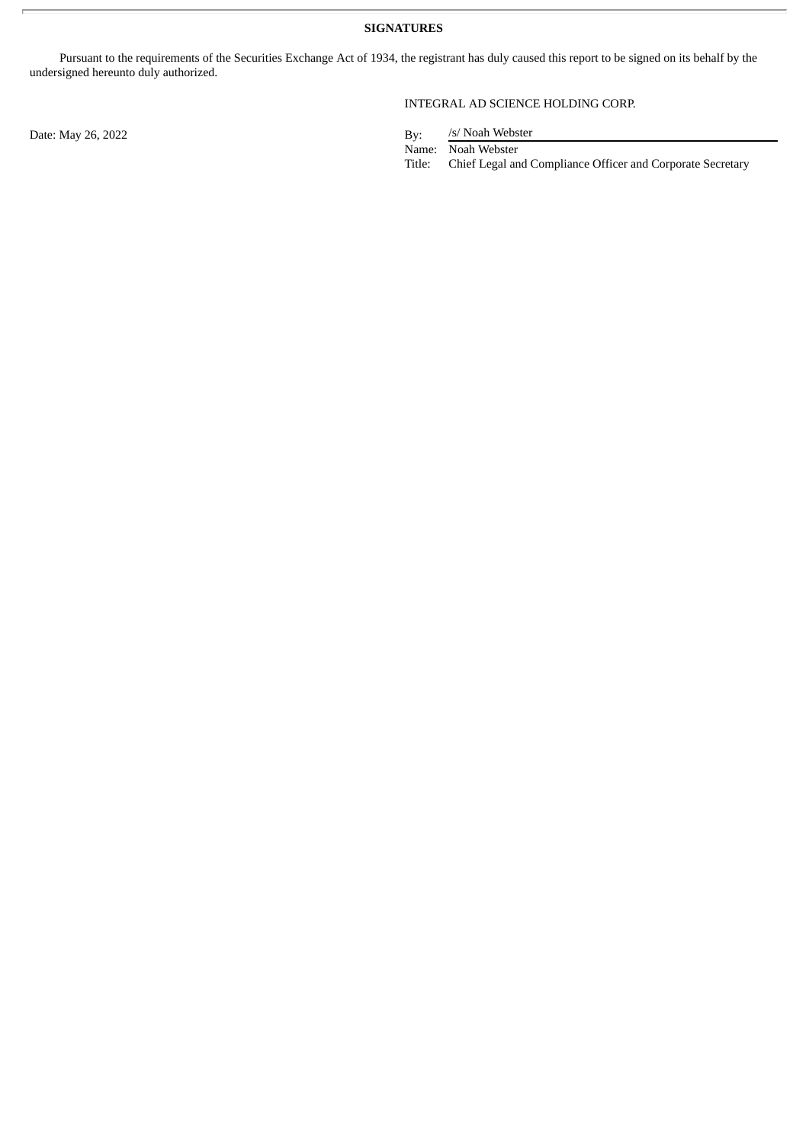Pursuant to the requirements of the Securities Exchange Act of 1934, the registrant has duly caused this report to be signed on its behalf by the undersigned hereunto duly authorized.

Date: May 26, 2022 By:

## INTEGRAL AD SCIENCE HOLDING CORP.

/s/ Noah Webster

Name: Noah Webster

Title: Chief Legal and Compliance Officer and Corporate Secretary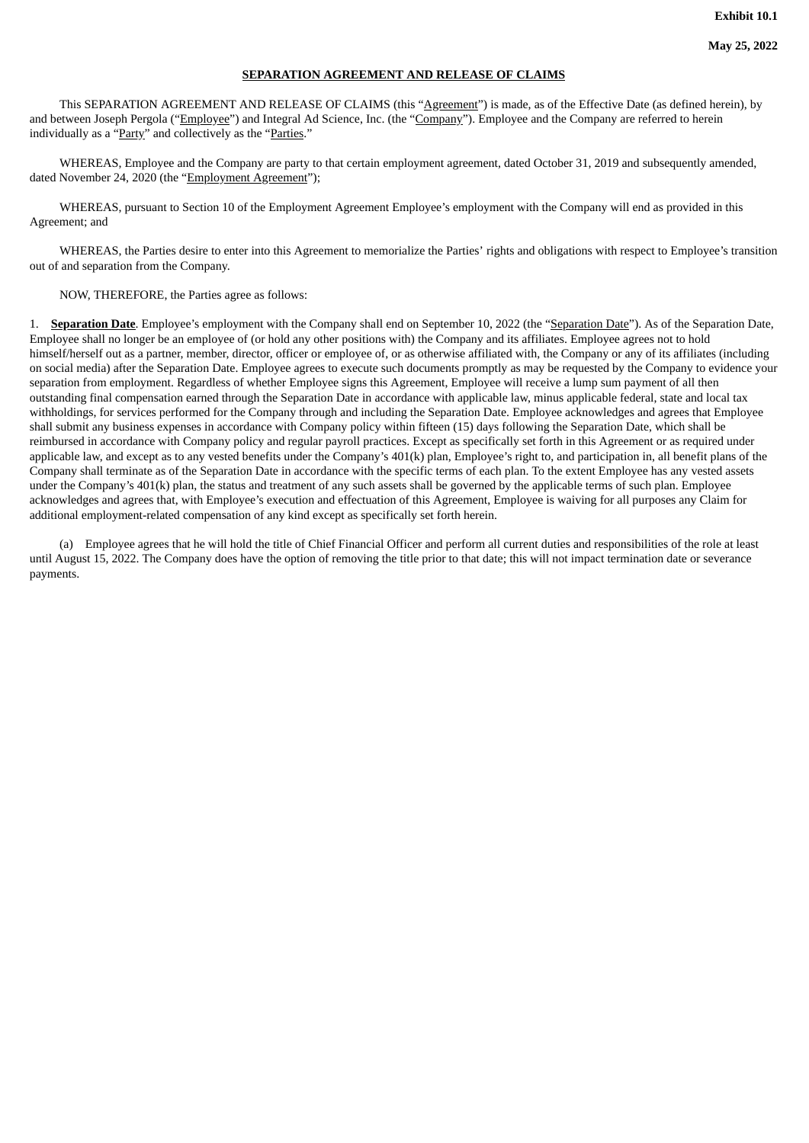#### **SEPARATION AGREEMENT AND RELEASE OF CLAIMS**

<span id="page-3-0"></span>This SEPARATION AGREEMENT AND RELEASE OF CLAIMS (this "Agreement") is made, as of the Effective Date (as defined herein), by and between Joseph Pergola ("Employee") and Integral Ad Science, Inc. (the "Company"). Employee and the Company are referred to herein individually as a "Party" and collectively as the "Parties."

WHEREAS, Employee and the Company are party to that certain employment agreement, dated October 31, 2019 and subsequently amended, dated November 24, 2020 (the "Employment Agreement");

WHEREAS, pursuant to Section 10 of the Employment Agreement Employee's employment with the Company will end as provided in this Agreement; and

WHEREAS, the Parties desire to enter into this Agreement to memorialize the Parties' rights and obligations with respect to Employee's transition out of and separation from the Company.

NOW, THEREFORE, the Parties agree as follows:

1. **Separation Date**. Employee's employment with the Company shall end on September 10, 2022 (the "Separation Date"). As of the Separation Date, Employee shall no longer be an employee of (or hold any other positions with) the Company and its affiliates. Employee agrees not to hold himself/herself out as a partner, member, director, officer or employee of, or as otherwise affiliated with, the Company or any of its affiliates (including on social media) after the Separation Date. Employee agrees to execute such documents promptly as may be requested by the Company to evidence your separation from employment. Regardless of whether Employee signs this Agreement, Employee will receive a lump sum payment of all then outstanding final compensation earned through the Separation Date in accordance with applicable law, minus applicable federal, state and local tax withholdings, for services performed for the Company through and including the Separation Date. Employee acknowledges and agrees that Employee shall submit any business expenses in accordance with Company policy within fifteen (15) days following the Separation Date, which shall be reimbursed in accordance with Company policy and regular payroll practices. Except as specifically set forth in this Agreement or as required under applicable law, and except as to any vested benefits under the Company's 401(k) plan, Employee's right to, and participation in, all benefit plans of the Company shall terminate as of the Separation Date in accordance with the specific terms of each plan. To the extent Employee has any vested assets under the Company's 401(k) plan, the status and treatment of any such assets shall be governed by the applicable terms of such plan. Employee acknowledges and agrees that, with Employee's execution and effectuation of this Agreement, Employee is waiving for all purposes any Claim for additional employment-related compensation of any kind except as specifically set forth herein.

(a) Employee agrees that he will hold the title of Chief Financial Officer and perform all current duties and responsibilities of the role at least until August 15, 2022. The Company does have the option of removing the title prior to that date; this will not impact termination date or severance payments.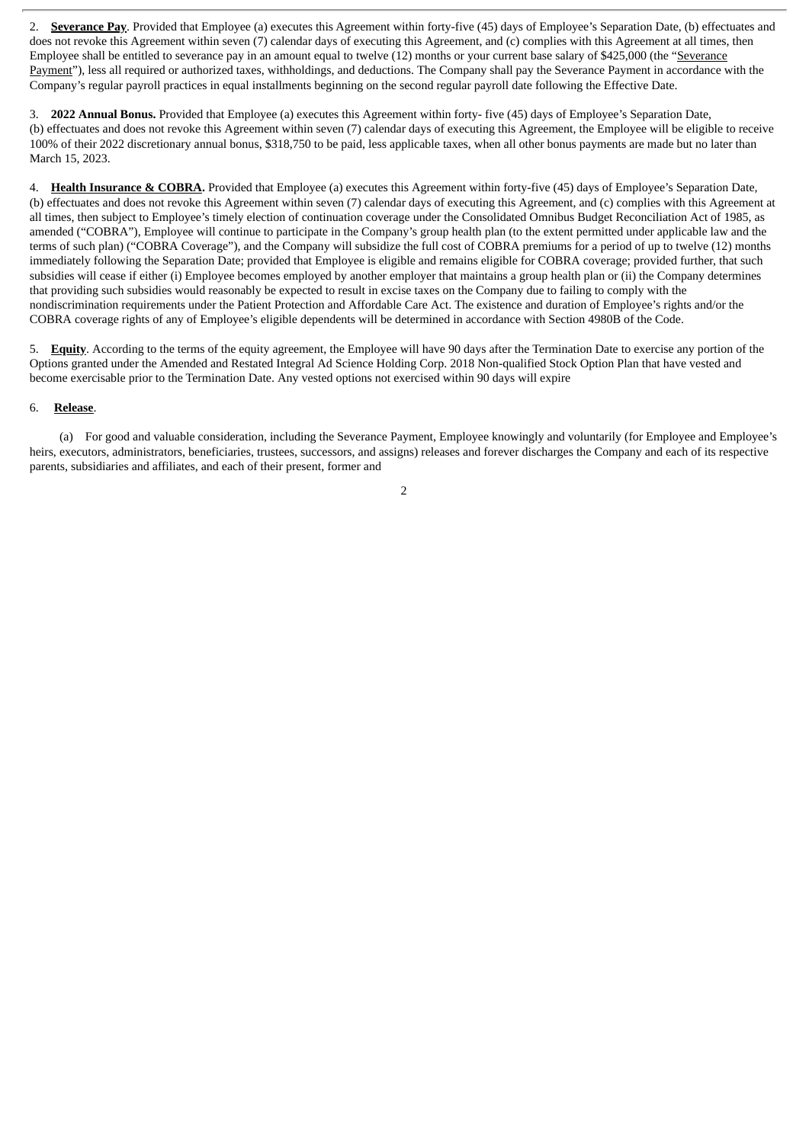2. **Severance Pay**. Provided that Employee (a) executes this Agreement within forty-five (45) days of Employee's Separation Date, (b) effectuates and does not revoke this Agreement within seven (7) calendar days of executing this Agreement, and (c) complies with this Agreement at all times, then Employee shall be entitled to severance pay in an amount equal to twelve (12) months or your current base salary of \$425,000 (the "Severance Payment"), less all required or authorized taxes, withholdings, and deductions. The Company shall pay the Severance Payment in accordance with the Company's regular payroll practices in equal installments beginning on the second regular payroll date following the Effective Date.

3. **2022 Annual Bonus.** Provided that Employee (a) executes this Agreement within forty- five (45) days of Employee's Separation Date, (b) effectuates and does not revoke this Agreement within seven (7) calendar days of executing this Agreement, the Employee will be eligible to receive 100% of their 2022 discretionary annual bonus, \$318,750 to be paid, less applicable taxes, when all other bonus payments are made but no later than March 15, 2023.

4. **Health Insurance & COBRA.** Provided that Employee (a) executes this Agreement within forty-five (45) days of Employee's Separation Date, (b) effectuates and does not revoke this Agreement within seven (7) calendar days of executing this Agreement, and (c) complies with this Agreement at all times, then subject to Employee's timely election of continuation coverage under the Consolidated Omnibus Budget Reconciliation Act of 1985, as amended ("COBRA"), Employee will continue to participate in the Company's group health plan (to the extent permitted under applicable law and the terms of such plan) ("COBRA Coverage"), and the Company will subsidize the full cost of COBRA premiums for a period of up to twelve (12) months immediately following the Separation Date; provided that Employee is eligible and remains eligible for COBRA coverage; provided further, that such subsidies will cease if either (i) Employee becomes employed by another employer that maintains a group health plan or (ii) the Company determines that providing such subsidies would reasonably be expected to result in excise taxes on the Company due to failing to comply with the nondiscrimination requirements under the Patient Protection and Affordable Care Act. The existence and duration of Employee's rights and/or the COBRA coverage rights of any of Employee's eligible dependents will be determined in accordance with Section 4980B of the Code.

5. **Equity**. According to the terms of the equity agreement, the Employee will have 90 days after the Termination Date to exercise any portion of the Options granted under the Amended and Restated Integral Ad Science Holding Corp. 2018 Non-qualified Stock Option Plan that have vested and become exercisable prior to the Termination Date. Any vested options not exercised within 90 days will expire

### 6. **Release**.

(a) For good and valuable consideration, including the Severance Payment, Employee knowingly and voluntarily (for Employee and Employee's heirs, executors, administrators, beneficiaries, trustees, successors, and assigns) releases and forever discharges the Company and each of its respective parents, subsidiaries and affiliates, and each of their present, former and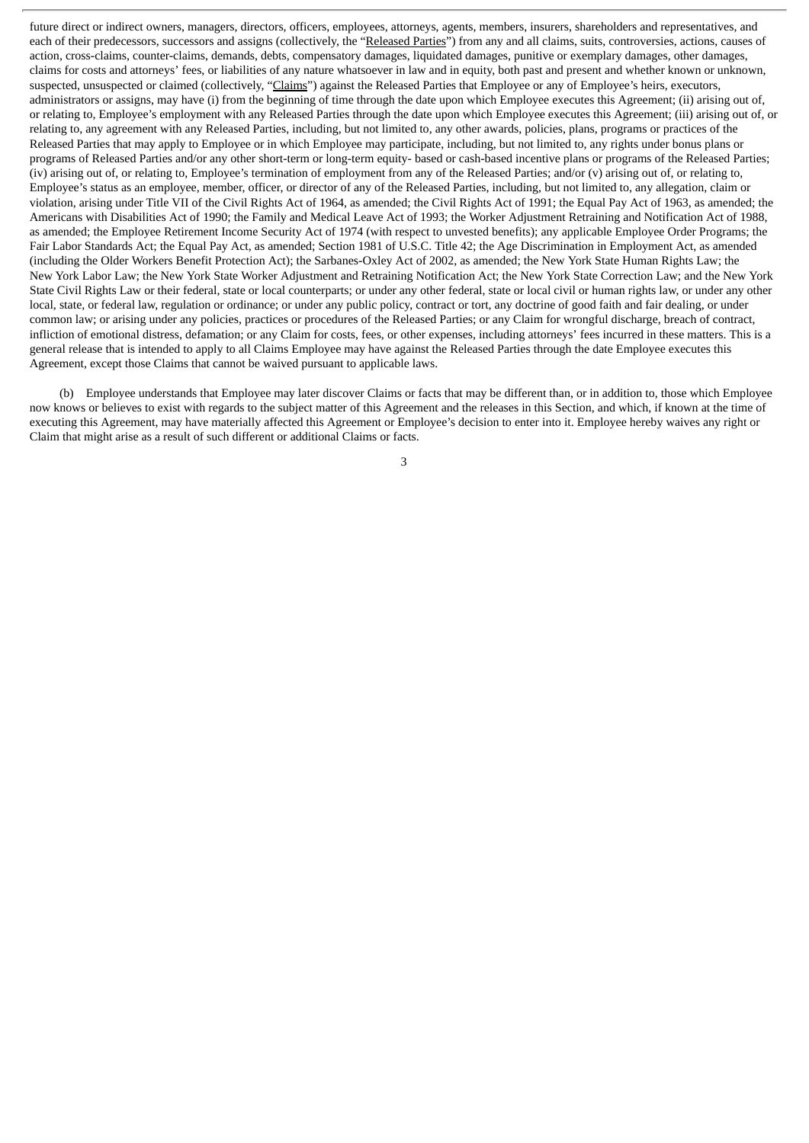future direct or indirect owners, managers, directors, officers, employees, attorneys, agents, members, insurers, shareholders and representatives, and each of their predecessors, successors and assigns (collectively, the "Released Parties") from any and all claims, suits, controversies, actions, causes of action, cross-claims, counter-claims, demands, debts, compensatory damages, liquidated damages, punitive or exemplary damages, other damages, claims for costs and attorneys' fees, or liabilities of any nature whatsoever in law and in equity, both past and present and whether known or unknown, suspected, unsuspected or claimed (collectively, "Claims") against the Released Parties that Employee or any of Employee's heirs, executors, administrators or assigns, may have (i) from the beginning of time through the date upon which Employee executes this Agreement; (ii) arising out of, or relating to, Employee's employment with any Released Parties through the date upon which Employee executes this Agreement; (iii) arising out of, or relating to, any agreement with any Released Parties, including, but not limited to, any other awards, policies, plans, programs or practices of the Released Parties that may apply to Employee or in which Employee may participate, including, but not limited to, any rights under bonus plans or programs of Released Parties and/or any other short-term or long-term equity- based or cash-based incentive plans or programs of the Released Parties; (iv) arising out of, or relating to, Employee's termination of employment from any of the Released Parties; and/or (v) arising out of, or relating to, Employee's status as an employee, member, officer, or director of any of the Released Parties, including, but not limited to, any allegation, claim or violation, arising under Title VII of the Civil Rights Act of 1964, as amended; the Civil Rights Act of 1991; the Equal Pay Act of 1963, as amended; the Americans with Disabilities Act of 1990; the Family and Medical Leave Act of 1993; the Worker Adjustment Retraining and Notification Act of 1988, as amended; the Employee Retirement Income Security Act of 1974 (with respect to unvested benefits); any applicable Employee Order Programs; the Fair Labor Standards Act; the Equal Pay Act, as amended; Section 1981 of U.S.C. Title 42; the Age Discrimination in Employment Act, as amended (including the Older Workers Benefit Protection Act); the Sarbanes-Oxley Act of 2002, as amended; the New York State Human Rights Law; the New York Labor Law; the New York State Worker Adjustment and Retraining Notification Act; the New York State Correction Law; and the New York State Civil Rights Law or their federal, state or local counterparts; or under any other federal, state or local civil or human rights law, or under any other local, state, or federal law, regulation or ordinance; or under any public policy, contract or tort, any doctrine of good faith and fair dealing, or under common law; or arising under any policies, practices or procedures of the Released Parties; or any Claim for wrongful discharge, breach of contract, infliction of emotional distress, defamation; or any Claim for costs, fees, or other expenses, including attorneys' fees incurred in these matters. This is a general release that is intended to apply to all Claims Employee may have against the Released Parties through the date Employee executes this Agreement, except those Claims that cannot be waived pursuant to applicable laws.

(b) Employee understands that Employee may later discover Claims or facts that may be different than, or in addition to, those which Employee now knows or believes to exist with regards to the subject matter of this Agreement and the releases in this Section, and which, if known at the time of executing this Agreement, may have materially affected this Agreement or Employee's decision to enter into it. Employee hereby waives any right or Claim that might arise as a result of such different or additional Claims or facts.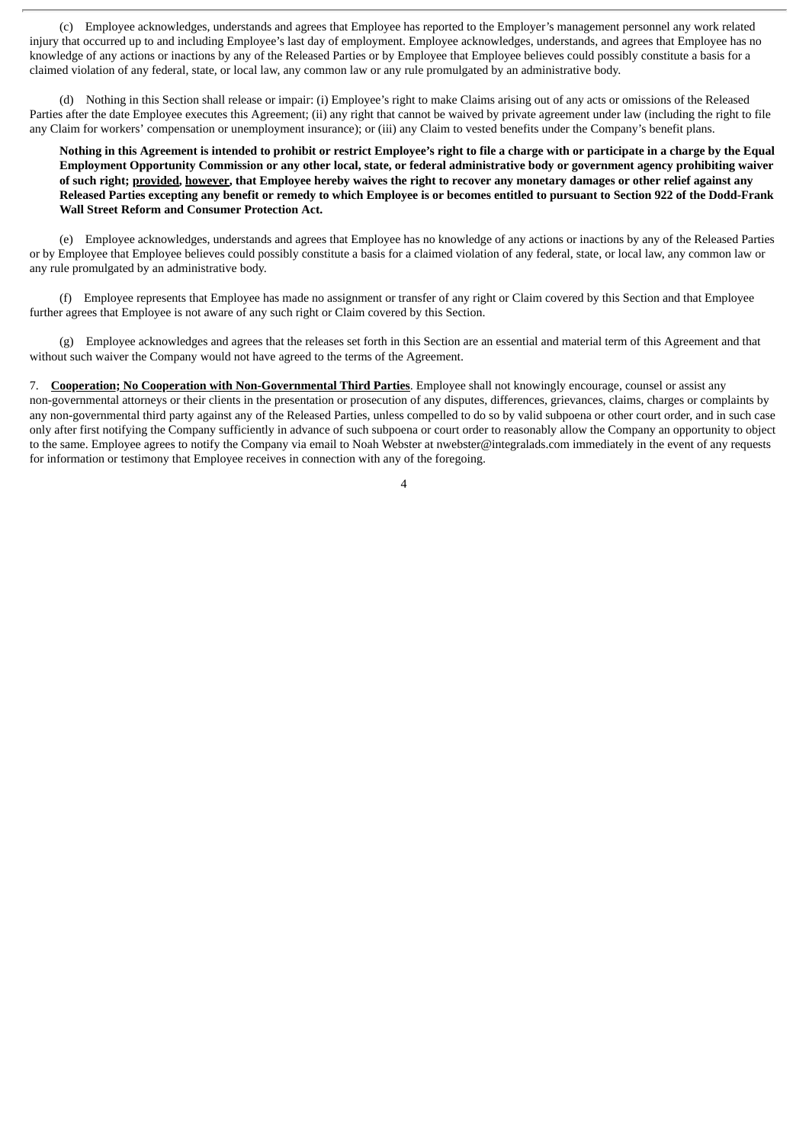(c) Employee acknowledges, understands and agrees that Employee has reported to the Employer's management personnel any work related injury that occurred up to and including Employee's last day of employment. Employee acknowledges, understands, and agrees that Employee has no knowledge of any actions or inactions by any of the Released Parties or by Employee that Employee believes could possibly constitute a basis for a claimed violation of any federal, state, or local law, any common law or any rule promulgated by an administrative body.

(d) Nothing in this Section shall release or impair: (i) Employee's right to make Claims arising out of any acts or omissions of the Released Parties after the date Employee executes this Agreement; (ii) any right that cannot be waived by private agreement under law (including the right to file any Claim for workers' compensation or unemployment insurance); or (iii) any Claim to vested benefits under the Company's benefit plans.

Nothing in this Agreement is intended to prohibit or restrict Employee's right to file a charge with or participate in a charge by the Equal Employment Opportunity Commission or any other local, state, or federal administrative body or government agency prohibiting waiver of such right; provided, however, that Employee hereby waives the right to recover any monetary damages or other relief against any Released Parties excepting any benefit or remedy to which Employee is or becomes entitled to pursuant to Section 922 of the Dodd-Frank **Wall Street Reform and Consumer Protection Act.**

(e) Employee acknowledges, understands and agrees that Employee has no knowledge of any actions or inactions by any of the Released Parties or by Employee that Employee believes could possibly constitute a basis for a claimed violation of any federal, state, or local law, any common law or any rule promulgated by an administrative body.

(f) Employee represents that Employee has made no assignment or transfer of any right or Claim covered by this Section and that Employee further agrees that Employee is not aware of any such right or Claim covered by this Section.

(g) Employee acknowledges and agrees that the releases set forth in this Section are an essential and material term of this Agreement and that without such waiver the Company would not have agreed to the terms of the Agreement.

7. **Cooperation; No Cooperation with Non-Governmental Third Parties**. Employee shall not knowingly encourage, counsel or assist any non-governmental attorneys or their clients in the presentation or prosecution of any disputes, differences, grievances, claims, charges or complaints by any non-governmental third party against any of the Released Parties, unless compelled to do so by valid subpoena or other court order, and in such case only after first notifying the Company sufficiently in advance of such subpoena or court order to reasonably allow the Company an opportunity to object to the same. Employee agrees to notify the Company via email to Noah Webster at nwebster@integralads.com immediately in the event of any requests for information or testimony that Employee receives in connection with any of the foregoing.

 $\overline{A}$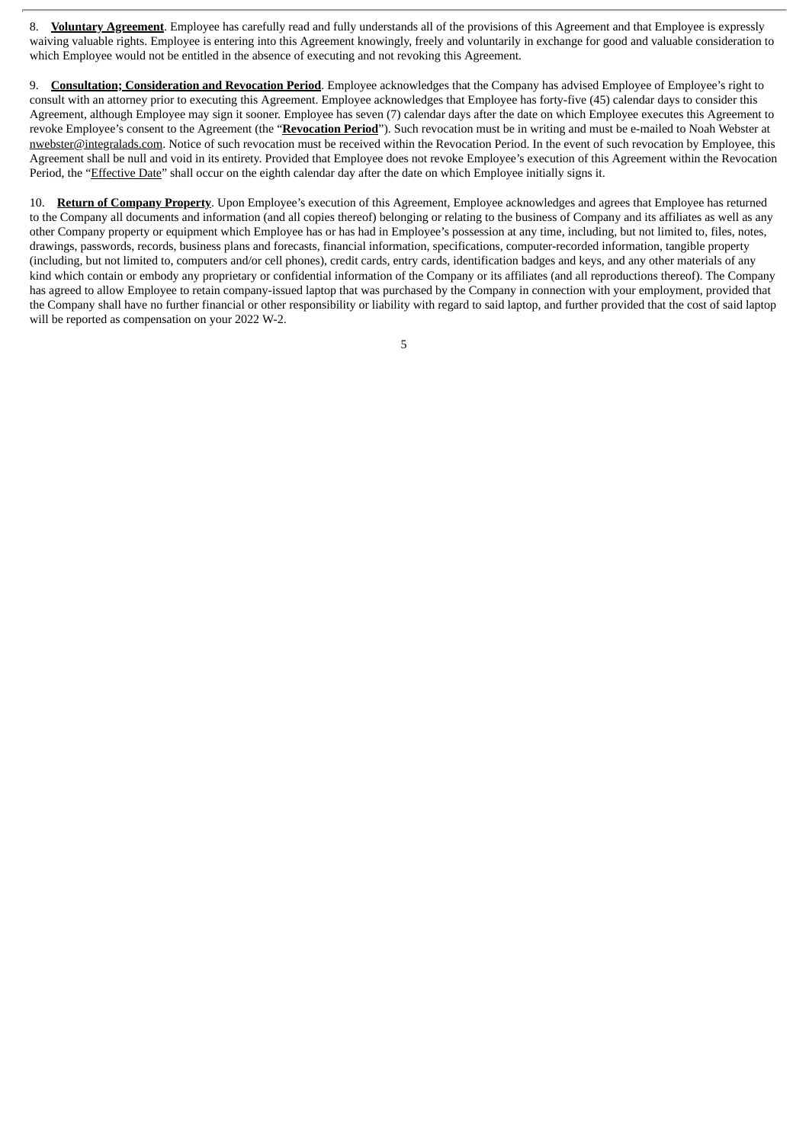8. **Voluntary Agreement**. Employee has carefully read and fully understands all of the provisions of this Agreement and that Employee is expressly waiving valuable rights. Employee is entering into this Agreement knowingly, freely and voluntarily in exchange for good and valuable consideration to which Employee would not be entitled in the absence of executing and not revoking this Agreement.

9. **Consultation; Consideration and Revocation Period**. Employee acknowledges that the Company has advised Employee of Employee's right to consult with an attorney prior to executing this Agreement. Employee acknowledges that Employee has forty-five (45) calendar days to consider this Agreement, although Employee may sign it sooner. Employee has seven (7) calendar days after the date on which Employee executes this Agreement to revoke Employee's consent to the Agreement (the "**Revocation Period**"). Such revocation must be in writing and must be e-mailed to Noah Webster at nwebster@integralads.com. Notice of such revocation must be received within the Revocation Period. In the event of such revocation by Employee, this Agreement shall be null and void in its entirety. Provided that Employee does not revoke Employee's execution of this Agreement within the Revocation Period, the "Effective Date" shall occur on the eighth calendar day after the date on which Employee initially signs it.

10. **Return of Company Property**. Upon Employee's execution of this Agreement, Employee acknowledges and agrees that Employee has returned to the Company all documents and information (and all copies thereof) belonging or relating to the business of Company and its affiliates as well as any other Company property or equipment which Employee has or has had in Employee's possession at any time, including, but not limited to, files, notes, drawings, passwords, records, business plans and forecasts, financial information, specifications, computer-recorded information, tangible property (including, but not limited to, computers and/or cell phones), credit cards, entry cards, identification badges and keys, and any other materials of any kind which contain or embody any proprietary or confidential information of the Company or its affiliates (and all reproductions thereof). The Company has agreed to allow Employee to retain company-issued laptop that was purchased by the Company in connection with your employment, provided that the Company shall have no further financial or other responsibility or liability with regard to said laptop, and further provided that the cost of said laptop will be reported as compensation on your 2022 W-2.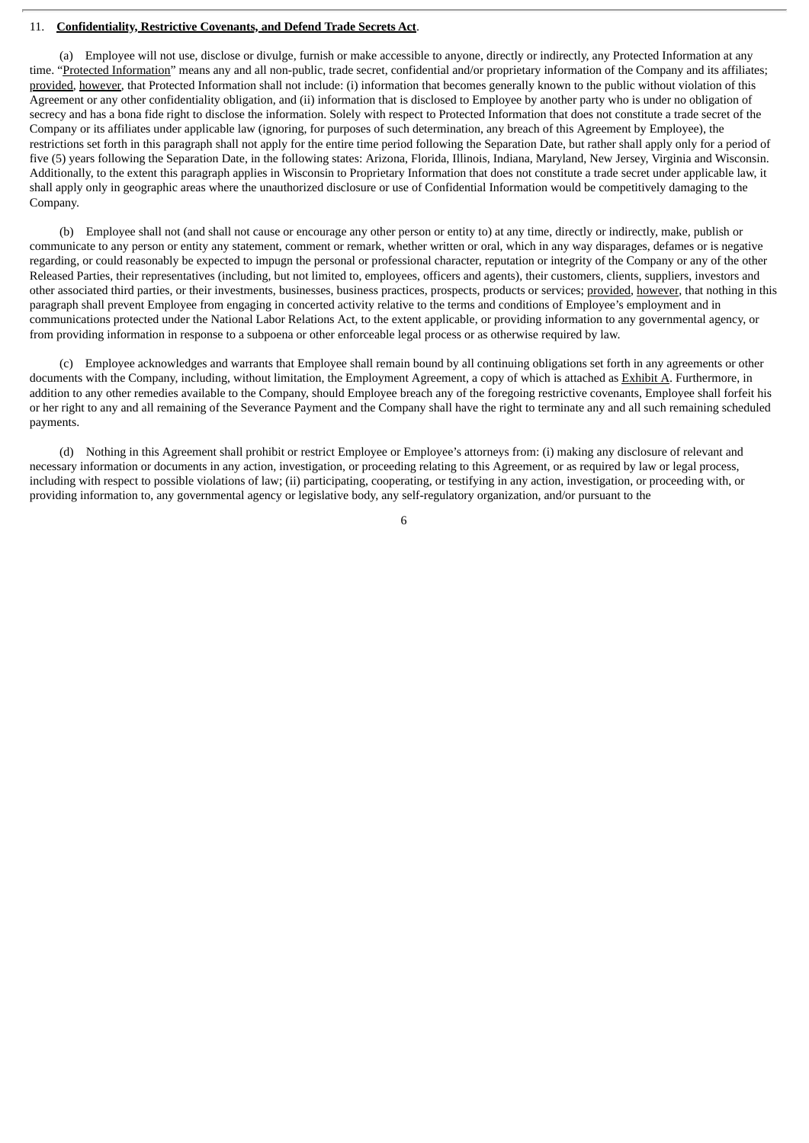#### 11. **Confidentiality, Restrictive Covenants, and Defend Trade Secrets Act**.

(a) Employee will not use, disclose or divulge, furnish or make accessible to anyone, directly or indirectly, any Protected Information at any time. "Protected Information" means any and all non-public, trade secret, confidential and/or proprietary information of the Company and its affiliates; provided, however, that Protected Information shall not include: (i) information that becomes generally known to the public without violation of this Agreement or any other confidentiality obligation, and (ii) information that is disclosed to Employee by another party who is under no obligation of secrecy and has a bona fide right to disclose the information. Solely with respect to Protected Information that does not constitute a trade secret of the Company or its affiliates under applicable law (ignoring, for purposes of such determination, any breach of this Agreement by Employee), the restrictions set forth in this paragraph shall not apply for the entire time period following the Separation Date, but rather shall apply only for a period of five (5) years following the Separation Date, in the following states: Arizona, Florida, Illinois, Indiana, Maryland, New Jersey, Virginia and Wisconsin. Additionally, to the extent this paragraph applies in Wisconsin to Proprietary Information that does not constitute a trade secret under applicable law, it shall apply only in geographic areas where the unauthorized disclosure or use of Confidential Information would be competitively damaging to the Company.

(b) Employee shall not (and shall not cause or encourage any other person or entity to) at any time, directly or indirectly, make, publish or communicate to any person or entity any statement, comment or remark, whether written or oral, which in any way disparages, defames or is negative regarding, or could reasonably be expected to impugn the personal or professional character, reputation or integrity of the Company or any of the other Released Parties, their representatives (including, but not limited to, employees, officers and agents), their customers, clients, suppliers, investors and other associated third parties, or their investments, businesses, business practices, prospects, products or services; provided, however, that nothing in this paragraph shall prevent Employee from engaging in concerted activity relative to the terms and conditions of Employee's employment and in communications protected under the National Labor Relations Act, to the extent applicable, or providing information to any governmental agency, or from providing information in response to a subpoena or other enforceable legal process or as otherwise required by law.

(c) Employee acknowledges and warrants that Employee shall remain bound by all continuing obligations set forth in any agreements or other documents with the Company, including, without limitation, the Employment Agreement, a copy of which is attached as Exhibit A. Furthermore, in addition to any other remedies available to the Company, should Employee breach any of the foregoing restrictive covenants, Employee shall forfeit his or her right to any and all remaining of the Severance Payment and the Company shall have the right to terminate any and all such remaining scheduled payments.

(d) Nothing in this Agreement shall prohibit or restrict Employee or Employee's attorneys from: (i) making any disclosure of relevant and necessary information or documents in any action, investigation, or proceeding relating to this Agreement, or as required by law or legal process, including with respect to possible violations of law; (ii) participating, cooperating, or testifying in any action, investigation, or proceeding with, or providing information to, any governmental agency or legislative body, any self-regulatory organization, and/or pursuant to the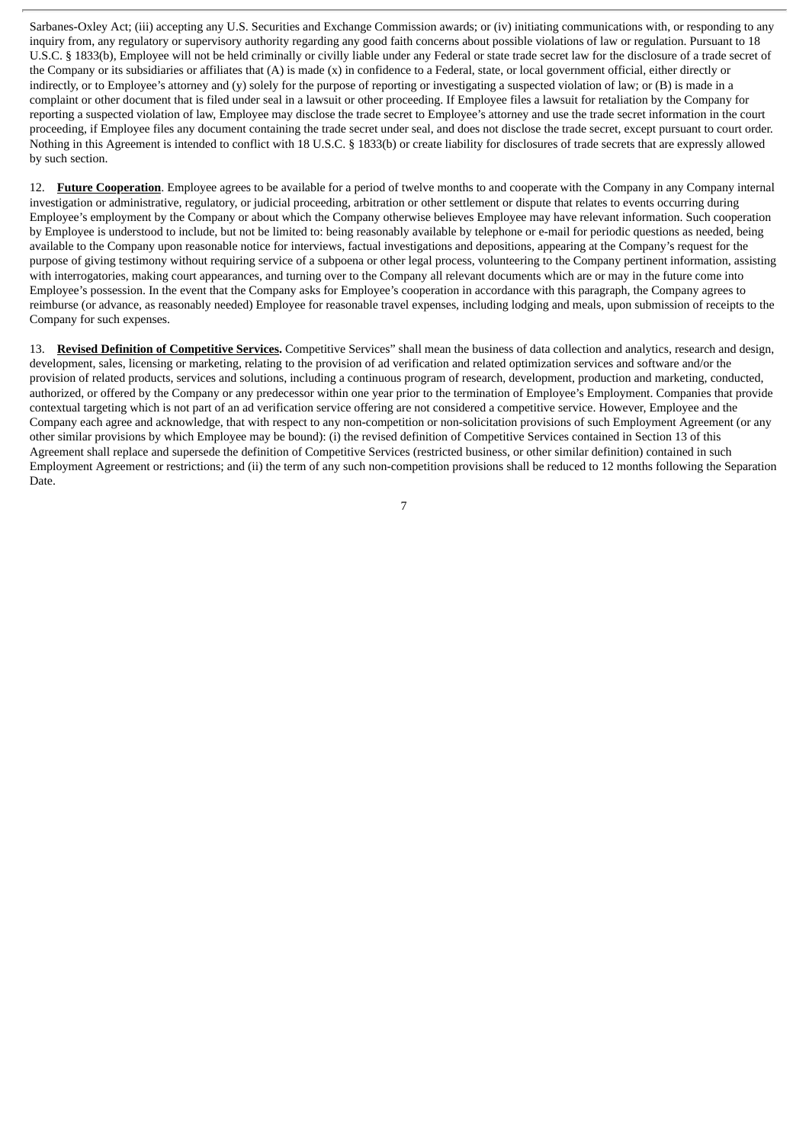Sarbanes-Oxley Act; (iii) accepting any U.S. Securities and Exchange Commission awards; or (iv) initiating communications with, or responding to any inquiry from, any regulatory or supervisory authority regarding any good faith concerns about possible violations of law or regulation. Pursuant to 18 U.S.C. § 1833(b), Employee will not be held criminally or civilly liable under any Federal or state trade secret law for the disclosure of a trade secret of the Company or its subsidiaries or affiliates that (A) is made (x) in confidence to a Federal, state, or local government official, either directly or indirectly, or to Employee's attorney and (y) solely for the purpose of reporting or investigating a suspected violation of law; or (B) is made in a complaint or other document that is filed under seal in a lawsuit or other proceeding. If Employee files a lawsuit for retaliation by the Company for reporting a suspected violation of law, Employee may disclose the trade secret to Employee's attorney and use the trade secret information in the court proceeding, if Employee files any document containing the trade secret under seal, and does not disclose the trade secret, except pursuant to court order. Nothing in this Agreement is intended to conflict with 18 U.S.C. § 1833(b) or create liability for disclosures of trade secrets that are expressly allowed by such section.

12. **Future Cooperation**. Employee agrees to be available for a period of twelve months to and cooperate with the Company in any Company internal investigation or administrative, regulatory, or judicial proceeding, arbitration or other settlement or dispute that relates to events occurring during Employee's employment by the Company or about which the Company otherwise believes Employee may have relevant information. Such cooperation by Employee is understood to include, but not be limited to: being reasonably available by telephone or e-mail for periodic questions as needed, being available to the Company upon reasonable notice for interviews, factual investigations and depositions, appearing at the Company's request for the purpose of giving testimony without requiring service of a subpoena or other legal process, volunteering to the Company pertinent information, assisting with interrogatories, making court appearances, and turning over to the Company all relevant documents which are or may in the future come into Employee's possession. In the event that the Company asks for Employee's cooperation in accordance with this paragraph, the Company agrees to reimburse (or advance, as reasonably needed) Employee for reasonable travel expenses, including lodging and meals, upon submission of receipts to the Company for such expenses.

13. **Revised Definition of Competitive Services.** Competitive Services" shall mean the business of data collection and analytics, research and design, development, sales, licensing or marketing, relating to the provision of ad verification and related optimization services and software and/or the provision of related products, services and solutions, including a continuous program of research, development, production and marketing, conducted, authorized, or offered by the Company or any predecessor within one year prior to the termination of Employee's Employment. Companies that provide contextual targeting which is not part of an ad verification service offering are not considered a competitive service. However, Employee and the Company each agree and acknowledge, that with respect to any non-competition or non-solicitation provisions of such Employment Agreement (or any other similar provisions by which Employee may be bound): (i) the revised definition of Competitive Services contained in Section 13 of this Agreement shall replace and supersede the definition of Competitive Services (restricted business, or other similar definition) contained in such Employment Agreement or restrictions; and (ii) the term of any such non-competition provisions shall be reduced to 12 months following the Separation Date.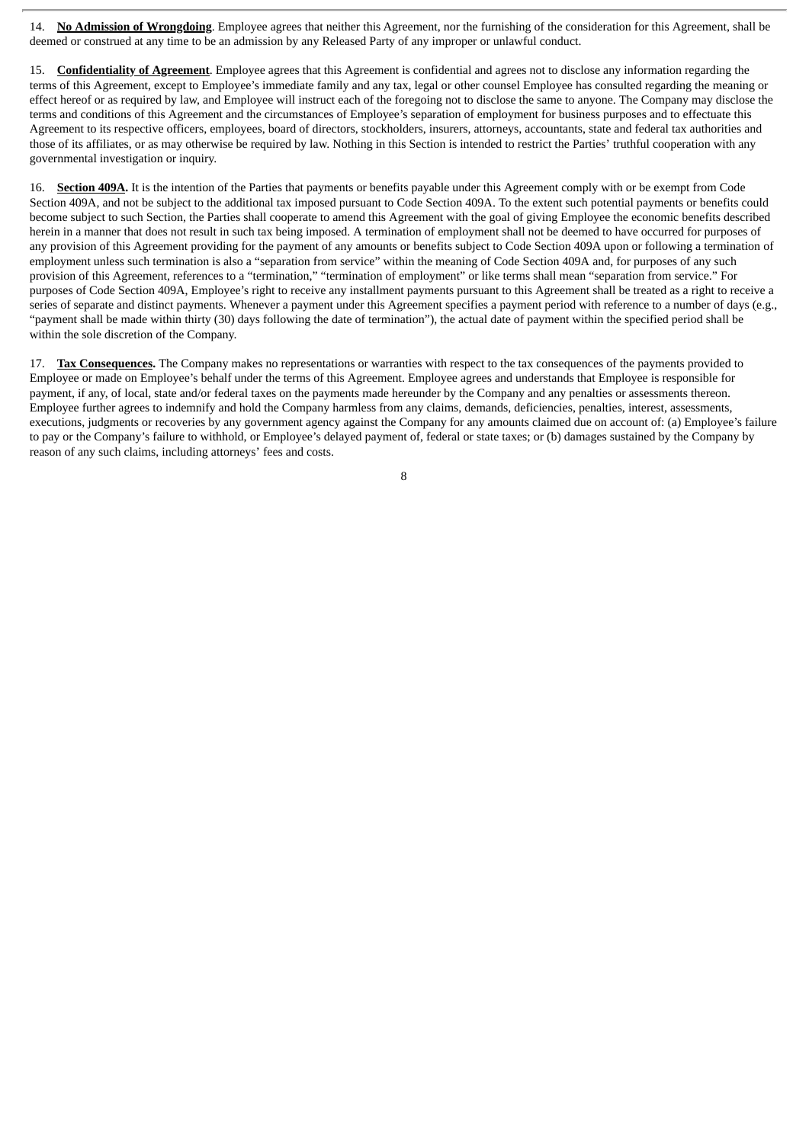14. **No Admission of Wrongdoing**. Employee agrees that neither this Agreement, nor the furnishing of the consideration for this Agreement, shall be deemed or construed at any time to be an admission by any Released Party of any improper or unlawful conduct.

15. **Confidentiality of Agreement**. Employee agrees that this Agreement is confidential and agrees not to disclose any information regarding the terms of this Agreement, except to Employee's immediate family and any tax, legal or other counsel Employee has consulted regarding the meaning or effect hereof or as required by law, and Employee will instruct each of the foregoing not to disclose the same to anyone. The Company may disclose the terms and conditions of this Agreement and the circumstances of Employee's separation of employment for business purposes and to effectuate this Agreement to its respective officers, employees, board of directors, stockholders, insurers, attorneys, accountants, state and federal tax authorities and those of its affiliates, or as may otherwise be required by law. Nothing in this Section is intended to restrict the Parties' truthful cooperation with any governmental investigation or inquiry.

16. **Section 409A.** It is the intention of the Parties that payments or benefits payable under this Agreement comply with or be exempt from Code Section 409A, and not be subject to the additional tax imposed pursuant to Code Section 409A. To the extent such potential payments or benefits could become subject to such Section, the Parties shall cooperate to amend this Agreement with the goal of giving Employee the economic benefits described herein in a manner that does not result in such tax being imposed. A termination of employment shall not be deemed to have occurred for purposes of any provision of this Agreement providing for the payment of any amounts or benefits subject to Code Section 409A upon or following a termination of employment unless such termination is also a "separation from service" within the meaning of Code Section 409A and, for purposes of any such provision of this Agreement, references to a "termination," "termination of employment" or like terms shall mean "separation from service." For purposes of Code Section 409A, Employee's right to receive any installment payments pursuant to this Agreement shall be treated as a right to receive a series of separate and distinct payments. Whenever a payment under this Agreement specifies a payment period with reference to a number of days (e.g., "payment shall be made within thirty (30) days following the date of termination"), the actual date of payment within the specified period shall be within the sole discretion of the Company.

17. **Tax Consequences.** The Company makes no representations or warranties with respect to the tax consequences of the payments provided to Employee or made on Employee's behalf under the terms of this Agreement. Employee agrees and understands that Employee is responsible for payment, if any, of local, state and/or federal taxes on the payments made hereunder by the Company and any penalties or assessments thereon. Employee further agrees to indemnify and hold the Company harmless from any claims, demands, deficiencies, penalties, interest, assessments, executions, judgments or recoveries by any government agency against the Company for any amounts claimed due on account of: (a) Employee's failure to pay or the Company's failure to withhold, or Employee's delayed payment of, federal or state taxes; or (b) damages sustained by the Company by reason of any such claims, including attorneys' fees and costs.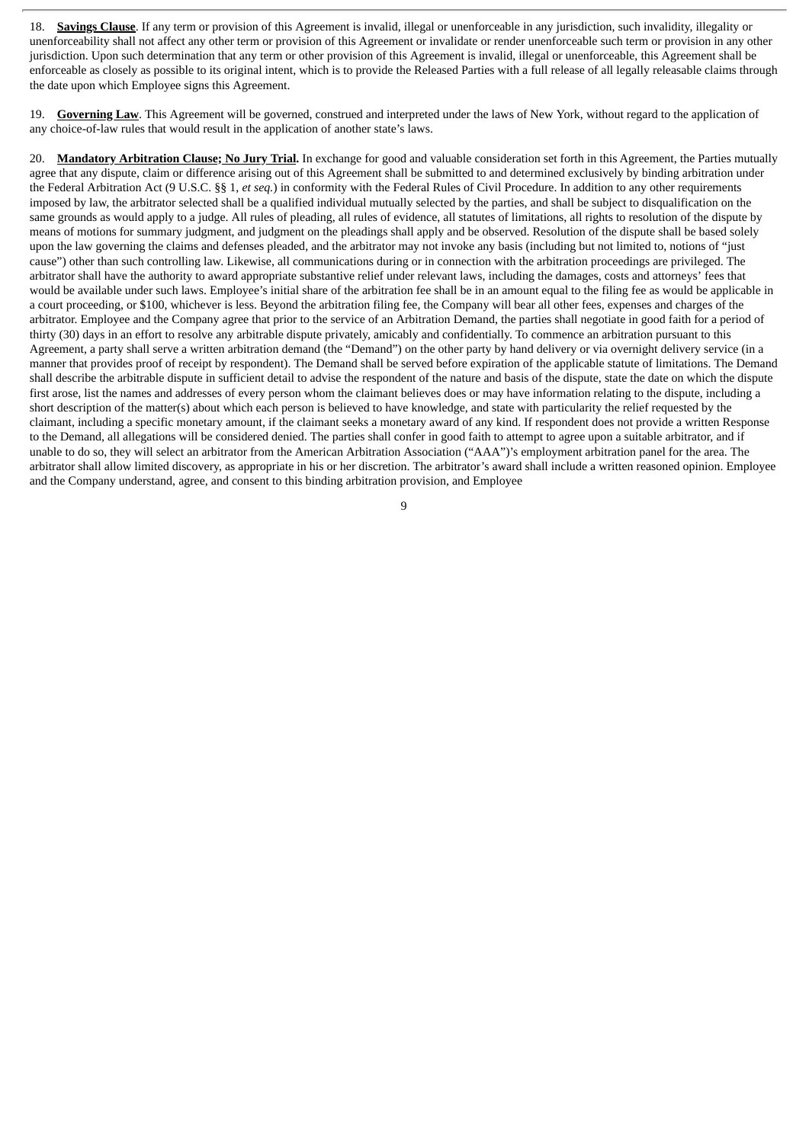18. **Savings Clause**. If any term or provision of this Agreement is invalid, illegal or unenforceable in any jurisdiction, such invalidity, illegality or unenforceability shall not affect any other term or provision of this Agreement or invalidate or render unenforceable such term or provision in any other jurisdiction. Upon such determination that any term or other provision of this Agreement is invalid, illegal or unenforceable, this Agreement shall be enforceable as closely as possible to its original intent, which is to provide the Released Parties with a full release of all legally releasable claims through the date upon which Employee signs this Agreement.

19. **Governing Law**. This Agreement will be governed, construed and interpreted under the laws of New York, without regard to the application of any choice-of-law rules that would result in the application of another state's laws.

20. **Mandatory Arbitration Clause; No Jury Trial.** In exchange for good and valuable consideration set forth in this Agreement, the Parties mutually agree that any dispute, claim or difference arising out of this Agreement shall be submitted to and determined exclusively by binding arbitration under the Federal Arbitration Act (9 U.S.C. §§ 1, *et seq.*) in conformity with the Federal Rules of Civil Procedure. In addition to any other requirements imposed by law, the arbitrator selected shall be a qualified individual mutually selected by the parties, and shall be subject to disqualification on the same grounds as would apply to a judge. All rules of pleading, all rules of evidence, all statutes of limitations, all rights to resolution of the dispute by means of motions for summary judgment, and judgment on the pleadings shall apply and be observed. Resolution of the dispute shall be based solely upon the law governing the claims and defenses pleaded, and the arbitrator may not invoke any basis (including but not limited to, notions of "just cause") other than such controlling law. Likewise, all communications during or in connection with the arbitration proceedings are privileged. The arbitrator shall have the authority to award appropriate substantive relief under relevant laws, including the damages, costs and attorneys' fees that would be available under such laws. Employee's initial share of the arbitration fee shall be in an amount equal to the filing fee as would be applicable in a court proceeding, or \$100, whichever is less. Beyond the arbitration filing fee, the Company will bear all other fees, expenses and charges of the arbitrator. Employee and the Company agree that prior to the service of an Arbitration Demand, the parties shall negotiate in good faith for a period of thirty (30) days in an effort to resolve any arbitrable dispute privately, amicably and confidentially. To commence an arbitration pursuant to this Agreement, a party shall serve a written arbitration demand (the "Demand") on the other party by hand delivery or via overnight delivery service (in a manner that provides proof of receipt by respondent). The Demand shall be served before expiration of the applicable statute of limitations. The Demand shall describe the arbitrable dispute in sufficient detail to advise the respondent of the nature and basis of the dispute, state the date on which the dispute first arose, list the names and addresses of every person whom the claimant believes does or may have information relating to the dispute, including a short description of the matter(s) about which each person is believed to have knowledge, and state with particularity the relief requested by the claimant, including a specific monetary amount, if the claimant seeks a monetary award of any kind. If respondent does not provide a written Response to the Demand, all allegations will be considered denied. The parties shall confer in good faith to attempt to agree upon a suitable arbitrator, and if unable to do so, they will select an arbitrator from the American Arbitration Association ("AAA")'s employment arbitration panel for the area. The arbitrator shall allow limited discovery, as appropriate in his or her discretion. The arbitrator's award shall include a written reasoned opinion. Employee and the Company understand, agree, and consent to this binding arbitration provision, and Employee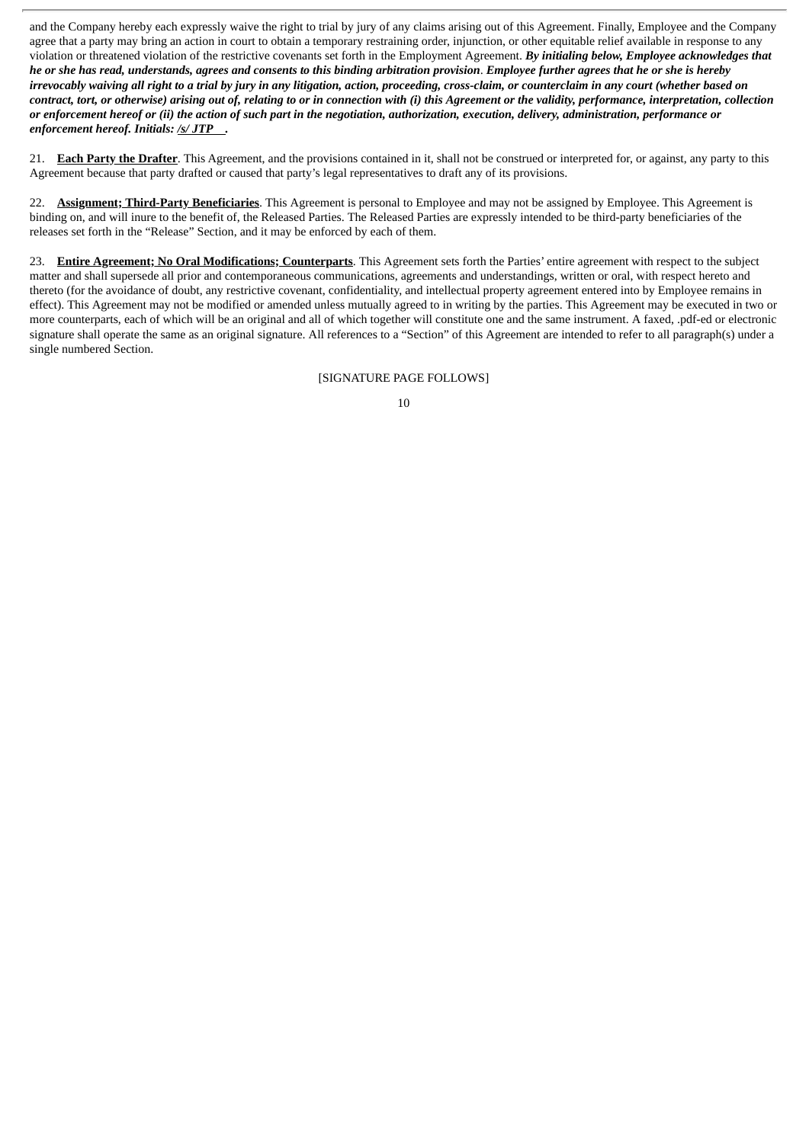and the Company hereby each expressly waive the right to trial by jury of any claims arising out of this Agreement. Finally, Employee and the Company agree that a party may bring an action in court to obtain a temporary restraining order, injunction, or other equitable relief available in response to any violation or threatened violation of the restrictive covenants set forth in the Employment Agreement. *By initialing below, Employee acknowledges that* he or she has read, understands, agrees and consents to this binding arbitration provision. Employee further agrees that he or she is hereby irrevocably waiving all right to a trial by jury in any litigation, action, proceeding, cross-claim, or counterclaim in any court (whether based on contract, tort, or otherwise) arising out of, relating to or in connection with (i) this Agreement or the validity, performance, interpretation, collection or enforcement hereof or (ii) the action of such part in the negotiation, authorization, execution, delivery, administration, performance or *enforcement hereof. Initials: /s/ JTP .*

21. **Each Party the Drafter**. This Agreement, and the provisions contained in it, shall not be construed or interpreted for, or against, any party to this Agreement because that party drafted or caused that party's legal representatives to draft any of its provisions.

22. **Assignment; Third-Party Beneficiaries**. This Agreement is personal to Employee and may not be assigned by Employee. This Agreement is binding on, and will inure to the benefit of, the Released Parties. The Released Parties are expressly intended to be third-party beneficiaries of the releases set forth in the "Release" Section, and it may be enforced by each of them.

23. **Entire Agreement; No Oral Modifications; Counterparts**. This Agreement sets forth the Parties' entire agreement with respect to the subject matter and shall supersede all prior and contemporaneous communications, agreements and understandings, written or oral, with respect hereto and thereto (for the avoidance of doubt, any restrictive covenant, confidentiality, and intellectual property agreement entered into by Employee remains in effect). This Agreement may not be modified or amended unless mutually agreed to in writing by the parties. This Agreement may be executed in two or more counterparts, each of which will be an original and all of which together will constitute one and the same instrument. A faxed, .pdf-ed or electronic signature shall operate the same as an original signature. All references to a "Section" of this Agreement are intended to refer to all paragraph(s) under a single numbered Section.

[SIGNATURE PAGE FOLLOWS]

<sup>10</sup>